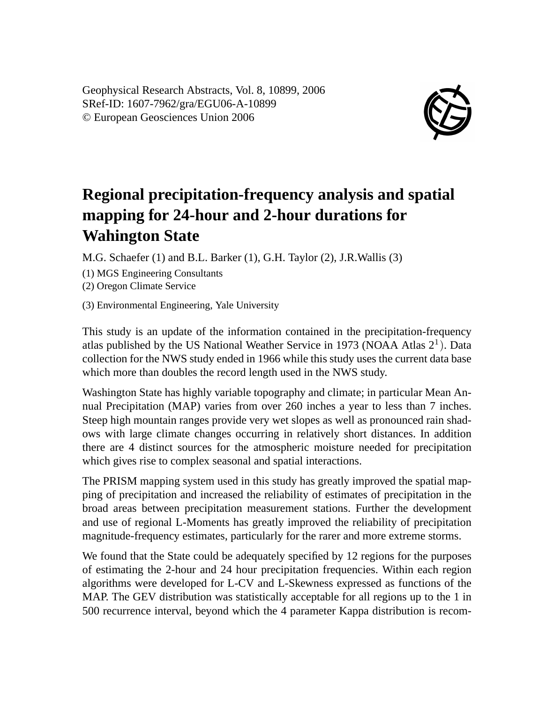Geophysical Research Abstracts, Vol. 8, 10899, 2006 SRef-ID: 1607-7962/gra/EGU06-A-10899 © European Geosciences Union 2006



## **Regional precipitation-frequency analysis and spatial mapping for 24-hour and 2-hour durations for Wahington State**

M.G. Schaefer (1) and B.L. Barker (1), G.H. Taylor (2), J.R.Wallis (3)

(1) MGS Engineering Consultants

(2) Oregon Climate Service

(3) Environmental Engineering, Yale University

This study is an update of the information contained in the precipitation-frequency atlas published by the US National Weather Service in 1973 (NOAA Atlas  $2<sup>1</sup>$ ). Data collection for the NWS study ended in 1966 while this study uses the current data base which more than doubles the record length used in the NWS study.

Washington State has highly variable topography and climate; in particular Mean Annual Precipitation (MAP) varies from over 260 inches a year to less than 7 inches. Steep high mountain ranges provide very wet slopes as well as pronounced rain shadows with large climate changes occurring in relatively short distances. In addition there are 4 distinct sources for the atmospheric moisture needed for precipitation which gives rise to complex seasonal and spatial interactions.

The PRISM mapping system used in this study has greatly improved the spatial mapping of precipitation and increased the reliability of estimates of precipitation in the broad areas between precipitation measurement stations. Further the development and use of regional L-Moments has greatly improved the reliability of precipitation magnitude-frequency estimates, particularly for the rarer and more extreme storms.

We found that the State could be adequately specified by 12 regions for the purposes of estimating the 2-hour and 24 hour precipitation frequencies. Within each region algorithms were developed for L-CV and L-Skewness expressed as functions of the MAP. The GEV distribution was statistically acceptable for all regions up to the 1 in 500 recurrence interval, beyond which the 4 parameter Kappa distribution is recom